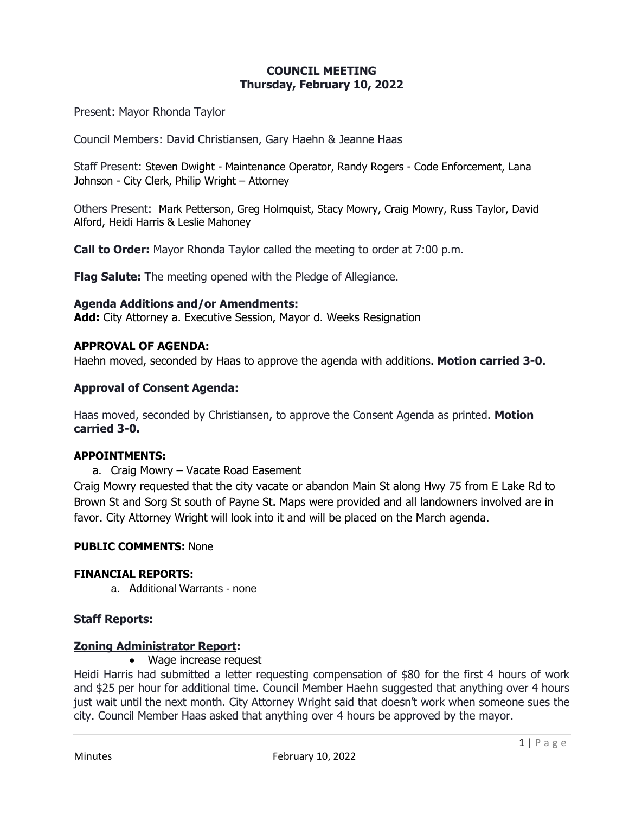### **COUNCIL MEETING Thursday, February 10, 2022**

Present: Mayor Rhonda Taylor

Council Members: David Christiansen, Gary Haehn & Jeanne Haas

Staff Present: Steven Dwight - Maintenance Operator, Randy Rogers - Code Enforcement, Lana Johnson - City Clerk, Philip Wright – Attorney

Others Present: Mark Petterson, Greg Holmquist, Stacy Mowry, Craig Mowry, Russ Taylor, David Alford, Heidi Harris & Leslie Mahoney

**Call to Order:** Mayor Rhonda Taylor called the meeting to order at 7:00 p.m.

**Flag Salute:** The meeting opened with the Pledge of Allegiance.

#### **Agenda Additions and/or Amendments:**

**Add:** City Attorney a. Executive Session, Mayor d. Weeks Resignation

### **APPROVAL OF AGENDA:**

Haehn moved, seconded by Haas to approve the agenda with additions. **Motion carried 3-0.**

### **Approval of Consent Agenda:**

Haas moved, seconded by Christiansen, to approve the Consent Agenda as printed. **Motion carried 3-0.**

#### **APPOINTMENTS:**

a. Craig Mowry – Vacate Road Easement

Craig Mowry requested that the city vacate or abandon Main St along Hwy 75 from E Lake Rd to Brown St and Sorg St south of Payne St. Maps were provided and all landowners involved are in favor. City Attorney Wright will look into it and will be placed on the March agenda.

#### **PUBLIC COMMENTS:** None

#### **FINANCIAL REPORTS:**

a. Additional Warrants - none

#### **Staff Reports:**

#### **Zoning Administrator Report:**

• Wage increase request

Heidi Harris had submitted a letter requesting compensation of \$80 for the first 4 hours of work and \$25 per hour for additional time. Council Member Haehn suggested that anything over 4 hours just wait until the next month. City Attorney Wright said that doesn't work when someone sues the city. Council Member Haas asked that anything over 4 hours be approved by the mayor.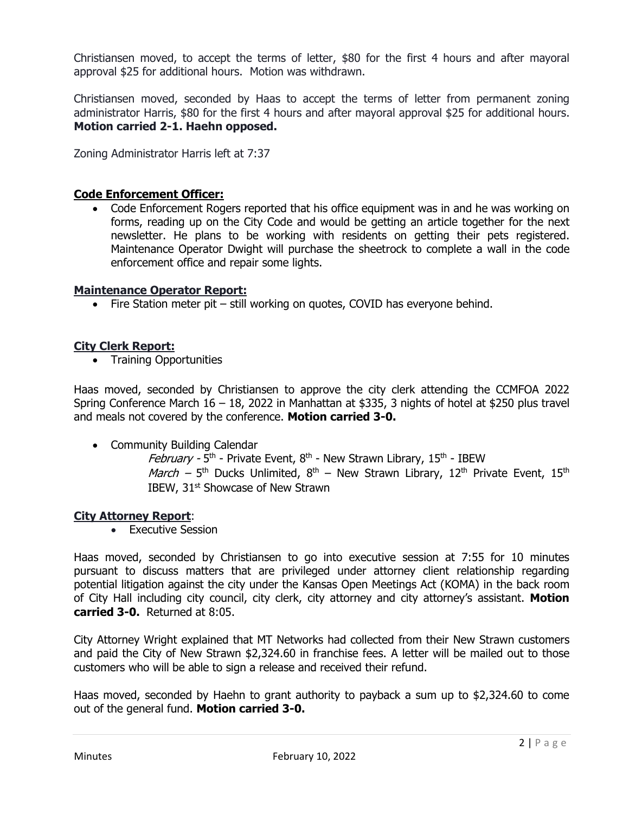Christiansen moved, to accept the terms of letter, \$80 for the first 4 hours and after mayoral approval \$25 for additional hours. Motion was withdrawn.

Christiansen moved, seconded by Haas to accept the terms of letter from permanent zoning administrator Harris, \$80 for the first 4 hours and after mayoral approval \$25 for additional hours. **Motion carried 2-1. Haehn opposed.**

Zoning Administrator Harris left at 7:37

### **Code Enforcement Officer:**

• Code Enforcement Rogers reported that his office equipment was in and he was working on forms, reading up on the City Code and would be getting an article together for the next newsletter. He plans to be working with residents on getting their pets registered. Maintenance Operator Dwight will purchase the sheetrock to complete a wall in the code enforcement office and repair some lights.

#### **Maintenance Operator Report:**

• Fire Station meter pit – still working on quotes, COVID has everyone behind.

#### **City Clerk Report:**

• Training Opportunities

Haas moved, seconded by Christiansen to approve the city clerk attending the CCMFOA 2022 Spring Conference March 16 – 18, 2022 in Manhattan at \$335, 3 nights of hotel at \$250 plus travel and meals not covered by the conference. **Motion carried 3-0.**

- Community Building Calendar
	- *February -* 5<sup>th</sup> Private Event, 8<sup>th</sup> New Strawn Library, 15<sup>th</sup> IBEW *March –* 5<sup>th</sup> Ducks Unlimited, 8<sup>th</sup> – New Strawn Library, 12<sup>th</sup> Private Event, 15<sup>th</sup> IBEW, 31<sup>st</sup> Showcase of New Strawn

#### **City Attorney Report**:

• Executive Session

Haas moved, seconded by Christiansen to go into executive session at 7:55 for 10 minutes pursuant to discuss matters that are privileged under attorney client relationship regarding potential litigation against the city under the Kansas Open Meetings Act (KOMA) in the back room of City Hall including city council, city clerk, city attorney and city attorney's assistant. **Motion carried 3-0.** Returned at 8:05.

City Attorney Wright explained that MT Networks had collected from their New Strawn customers and paid the City of New Strawn \$2,324.60 in franchise fees. A letter will be mailed out to those customers who will be able to sign a release and received their refund.

Haas moved, seconded by Haehn to grant authority to payback a sum up to \$2,324.60 to come out of the general fund. **Motion carried 3-0.**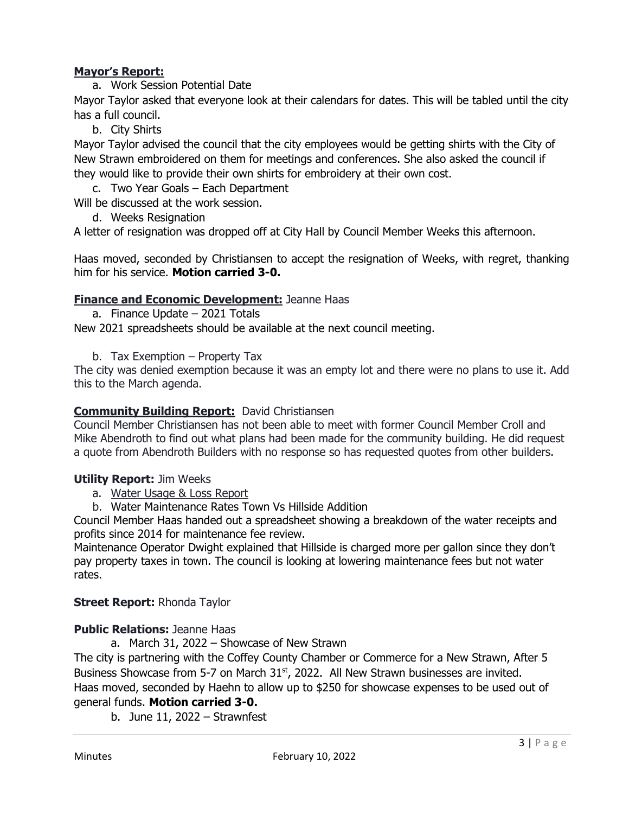# **Mayor's Report:**

a. Work Session Potential Date

Mayor Taylor asked that everyone look at their calendars for dates. This will be tabled until the city has a full council.

b. City Shirts

Mayor Taylor advised the council that the city employees would be getting shirts with the City of New Strawn embroidered on them for meetings and conferences. She also asked the council if they would like to provide their own shirts for embroidery at their own cost.

c. Two Year Goals – Each Department

Will be discussed at the work session.

d. Weeks Resignation

A letter of resignation was dropped off at City Hall by Council Member Weeks this afternoon.

Haas moved, seconded by Christiansen to accept the resignation of Weeks, with regret, thanking him for his service. **Motion carried 3-0.**

# **Finance and Economic Development:** Jeanne Haas

- a. Finance Update 2021 Totals New 2021 spreadsheets should be available at the next council meeting.
	- b. Tax Exemption Property Tax

The city was denied exemption because it was an empty lot and there were no plans to use it. Add this to the March agenda.

# **Community Building Report:** David Christiansen

Council Member Christiansen has not been able to meet with former Council Member Croll and Mike Abendroth to find out what plans had been made for the community building. He did request a quote from Abendroth Builders with no response so has requested quotes from other builders.

## **Utility Report:** Jim Weeks

- a. Water Usage & Loss Report
- b. Water Maintenance Rates Town Vs Hillside Addition

Council Member Haas handed out a spreadsheet showing a breakdown of the water receipts and profits since 2014 for maintenance fee review.

Maintenance Operator Dwight explained that Hillside is charged more per gallon since they don't pay property taxes in town. The council is looking at lowering maintenance fees but not water rates.

## **Street Report:** Rhonda Taylor

## **Public Relations:** Jeanne Haas

a. March 31, 2022 – Showcase of New Strawn

The city is partnering with the Coffey County Chamber or Commerce for a New Strawn, After 5 Business Showcase from 5-7 on March 31<sup>st</sup>, 2022. All New Strawn businesses are invited. Haas moved, seconded by Haehn to allow up to \$250 for showcase expenses to be used out of general funds. **Motion carried 3-0.**

b. June 11, 2022 – Strawnfest